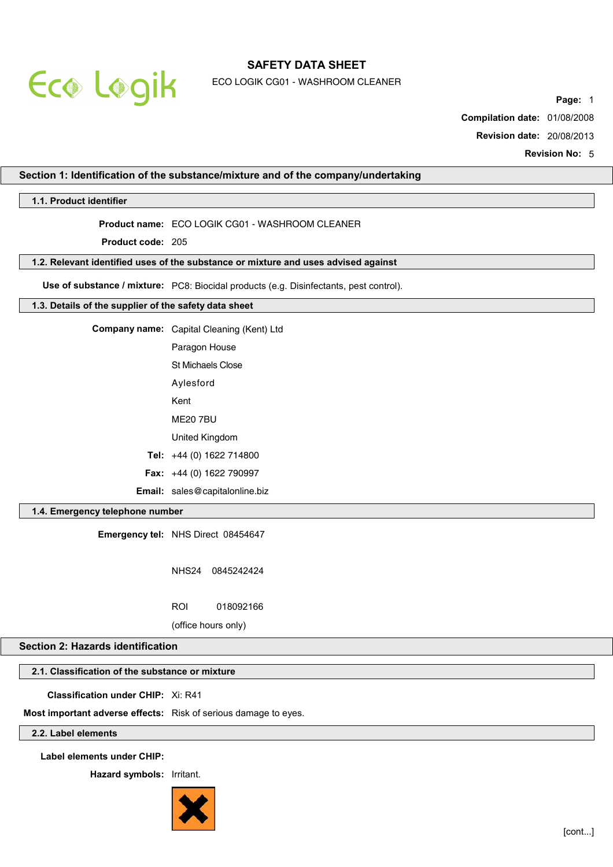

ECO LOGIK CG01 - WASHROOM CLEANER

**Page:** 1

**Compilation date:** 01/08/2008

**Revision date:** 20/08/2013

**Revision No:** 5

## **Section 1: Identification of the substance/mixture and of the company/undertaking**

## **1.1. Product identifier**

## **Product name:** ECO LOGIK CG01 - WASHROOM CLEANER

**Product code:** 205

#### **1.2. Relevant identified uses of the substance or mixture and uses advised against**

**Use of substance / mixture:** PC8: Biocidal products (e.g. Disinfectants, pest control).

### **1.3. Details of the supplier of the safety data sheet**

|  | Company name: Capital Cleaning (Kent) Ltd |
|--|-------------------------------------------|
|--|-------------------------------------------|

| Paragon House            |
|--------------------------|
| <b>St Michaels Close</b> |

- Aylesford
- Kent
- ME20 7BU
- United Kingdom
- **Tel:** +44 (0) 1622 714800
- **Fax:** +44 (0) 1622 790997
- **Email:** sales@capitalonline.biz

## **1.4. Emergency telephone number**

**Emergency tel:** NHS Direct 08454647

NHS24 0845242424

ROI 018092166

(office hours only)

### **Section 2: Hazards identification**

## **2.1. Classification of the substance or mixture**

**Classification under CHIP:** Xi: R41

**Most important adverse effects:** Risk of serious damage to eyes.

## **2.2. Label elements**

**Label elements under CHIP:**

**Hazard symbols:** Irritant.

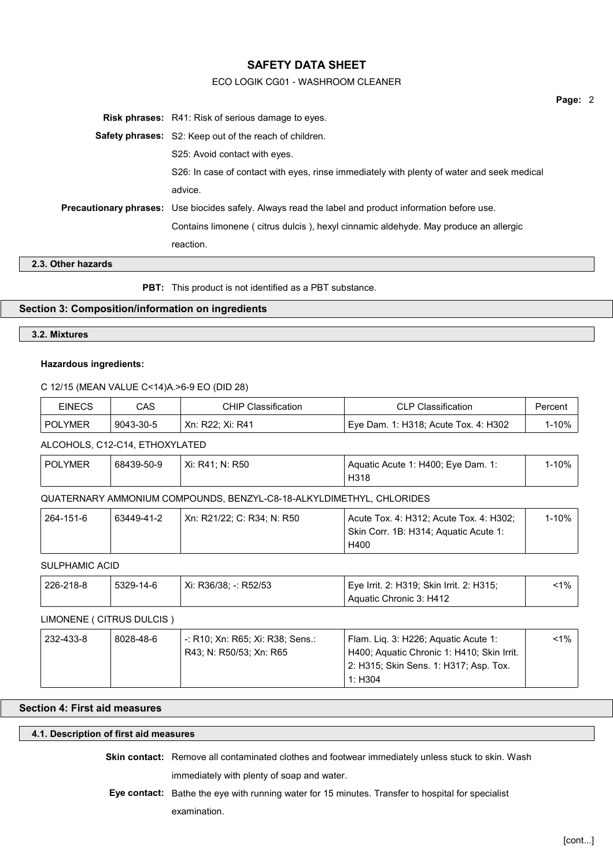## ECO LOGIK CG01 - WASHROOM CLEANER

| <b>Risk phrases:</b> R41: Risk of serious damage to eyes.                                                    |  |  |  |
|--------------------------------------------------------------------------------------------------------------|--|--|--|
| <b>Safety phrases:</b> S2: Keep out of the reach of children.                                                |  |  |  |
| S25: Avoid contact with eyes.                                                                                |  |  |  |
| S26: In case of contact with eyes, rinse immediately with plenty of water and seek medical                   |  |  |  |
| advice.                                                                                                      |  |  |  |
| <b>Precautionary phrases:</b> Use biocides safely. Always read the label and product information before use. |  |  |  |
| Contains limonene ( citrus dulcis ), hexyl cinnamic aldehyde. May produce an allergic                        |  |  |  |
| reaction.                                                                                                    |  |  |  |
|                                                                                                              |  |  |  |

**2.3. Other hazards**

**PBT:** This product is not identified as a PBT substance.

## **Section 3: Composition/information on ingredients**

# **3.2. Mixtures**

## **Hazardous ingredients:**

## C 12/15 (MEAN VALUE C<14)A.>6-9 EO (DID 28)

| <b>EINECS</b>  | CAS       | CHIP Classification | <b>CLP Classification</b>                         | Percent |
|----------------|-----------|---------------------|---------------------------------------------------|---------|
| <b>POLYMER</b> | 9043-30-5 | Xn: R22: Xi: R41    | <sup>∣</sup> Eve Dam. 1: H318; Acute Tox. 4: H302 | $-10%$  |

### ALCOHOLS, C12-C14, ETHOXYLATED

| <b>POLYMER</b> | 68439-50-9 | Xi: R41: N: R50 | Aquatic Acute 1: H400; Eye Dam. 1: | -10% |
|----------------|------------|-----------------|------------------------------------|------|
|                |            |                 | H318                               |      |

## QUATERNARY AMMONIUM COMPOUNDS, BENZYL-C8-18-ALKYLDIMETHYL, CHLORIDES

| 264-151-6 | 63449-41-2 | Xn: R21/22: C: R34: N: R50 | Acute Tox. 4: H312; Acute Tox. 4: H302; | $1 - 10\%$ |
|-----------|------------|----------------------------|-----------------------------------------|------------|
|           |            |                            | Skin Corr. 1B: H314; Aguatic Acute 1:   |            |
|           |            |                            | H400                                    |            |

## SULPHAMIC ACID

| 226-218-8 | 5329-14-6 | Xi: R36/38: -: R52/53 | Eye Irrit. 2: H319; Skin Irrit. 2: H315; | ำ% |
|-----------|-----------|-----------------------|------------------------------------------|----|
|           |           |                       | Aquatic Chronic 3: H412                  |    |

## LIMONENE ( CITRUS DULCIS )

| 232-433-8 | 8028-48-6 | -: R10; Xn: R65; Xi: R38; Sens.: | Flam. Lig. 3: H226; Aguatic Acute 1:       | $1\%$ |
|-----------|-----------|----------------------------------|--------------------------------------------|-------|
|           |           | R43: N: R50/53: Xn: R65          | H400; Aquatic Chronic 1: H410; Skin Irrit. |       |
|           |           |                                  | 2: H315; Skin Sens. 1: H317; Asp. Tox.     |       |
|           |           |                                  | 1: $H304$                                  |       |

# **Section 4: First aid measures**

### **4.1. Description of first aid measures**

| <b>Skin contact:</b> Remove all contaminated clothes and footwear immediately unless stuck to skin. Wash |
|----------------------------------------------------------------------------------------------------------|
| immediately with plenty of soap and water.                                                               |
| <b>Eye contact:</b> Bathe the eye with running water for 15 minutes. Transfer to hospital for specialist |
| examination.                                                                                             |

**Page:** 2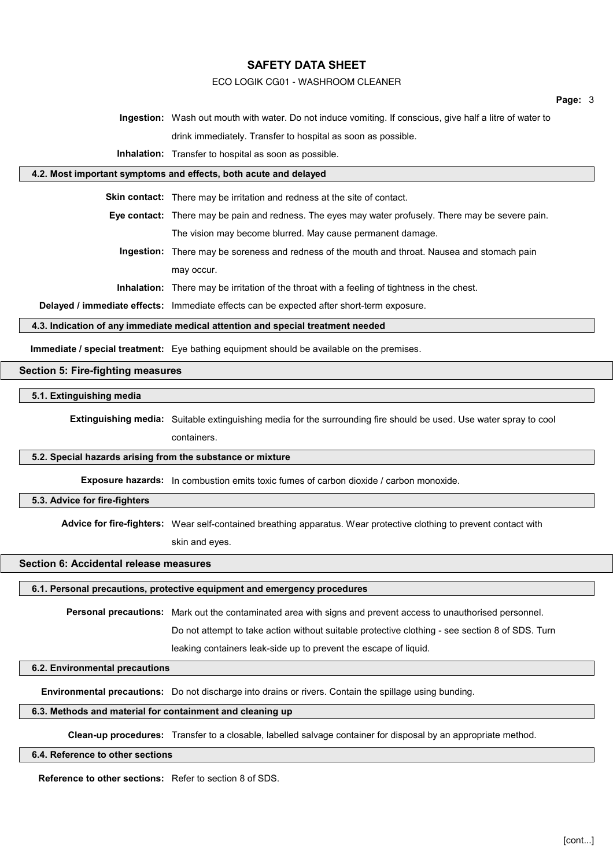## ECO LOGIK CG01 - WASHROOM CLEANER

**Page:** 3

**Ingestion:** Wash out mouth with water. Do not induce vomiting. If conscious, give half a litre of water to drink immediately. Transfer to hospital as soon as possible.

**Inhalation:** Transfer to hospital as soon as possible.

# **4.2. Most important symptoms and effects, both acute and delayed**

**Skin contact:** There may be irritation and redness at the site of contact.

**Eye contact:** There may be pain and redness. The eyes may water profusely. There may be severe pain. The vision may become blurred. May cause permanent damage.

**Ingestion:** There may be soreness and redness of the mouth and throat. Nausea and stomach pain may occur.

**Inhalation:** There may be irritation of the throat with a feeling of tightness in the chest.

**Delayed / immediate effects:** Immediate effects can be expected after short-term exposure.

#### **4.3. Indication of any immediate medical attention and special treatment needed**

**Immediate / special treatment:** Eye bathing equipment should be available on the premises.

## **Section 5: Fire-fighting measures**

**5.1. Extinguishing media**

**Extinguishing media:** Suitable extinguishing media for the surrounding fire should be used. Use water spray to cool containers.

#### **5.2. Special hazards arising from the substance or mixture**

**Exposure hazards:** In combustion emits toxic fumes of carbon dioxide / carbon monoxide.

### **5.3. Advice for fire-fighters**

**Advice for fire-fighters:** Wear self-contained breathing apparatus. Wear protective clothing to prevent contact with

skin and eyes.

## **Section 6: Accidental release measures**

#### **6.1. Personal precautions, protective equipment and emergency procedures**

**Personal precautions:** Mark out the contaminated area with signs and prevent access to unauthorised personnel.

Do not attempt to take action without suitable protective clothing - see section 8 of SDS. Turn

leaking containers leak-side up to prevent the escape of liquid.

#### **6.2. Environmental precautions**

**Environmental precautions:** Do not discharge into drains or rivers. Contain the spillage using bunding.

### **6.3. Methods and material for containment and cleaning up**

**Clean-up procedures:** Transfer to a closable, labelled salvage container for disposal by an appropriate method.

#### **6.4. Reference to other sections**

**Reference to other sections:** Refer to section 8 of SDS.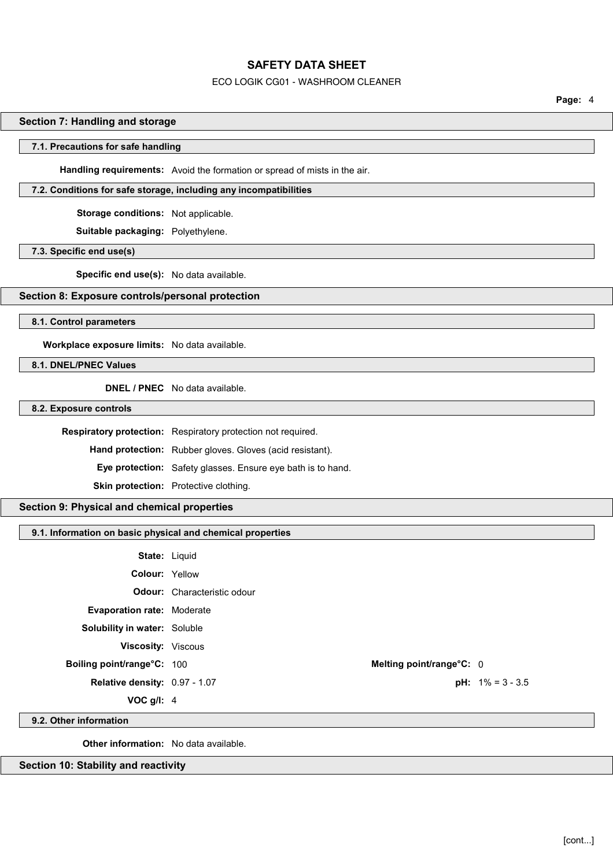### ECO LOGIK CG01 - WASHROOM CLEANER

**Page:** 4

## **Section 7: Handling and storage**

#### **7.1. Precautions for safe handling**

**Handling requirements:** Avoid the formation or spread of mists in the air.

## **7.2. Conditions for safe storage, including any incompatibilities**

**Storage conditions:** Not applicable.

**Suitable packaging:** Polyethylene.

#### **7.3. Specific end use(s)**

**Specific end use(s):** No data available.

## **Section 8: Exposure controls/personal protection**

**8.1. Control parameters**

**Workplace exposure limits:** No data available.

## **8.1. DNEL/PNEC Values**

**DNEL / PNEC** No data available.

**8.2. Exposure controls**

**Respiratory protection:** Respiratory protection not required.

**Hand protection:** Rubber gloves. Gloves (acid resistant).

**Eye protection:** Safety glasses. Ensure eye bath is to hand.

**Skin protection:** Protective clothing.

## **Section 9: Physical and chemical properties**

## **9.1. Information on basic physical and chemical properties**

**State:** Liquid **Colour:** Yellow **Odour:** Characteristic odour **Evaporation rate:** Moderate **Solubility in water:** Soluble

**Viscosity:** Viscous

**Boiling point/range°C:** 100 **Melting point/range°C:** 0

**Relative density:** 0.97 - 1.07 **pH:**  $1\% = 3 - 3.5$ 

**VOC g/l:** 4

**9.2. Other information**

**Other information:** No data available.

**Section 10: Stability and reactivity**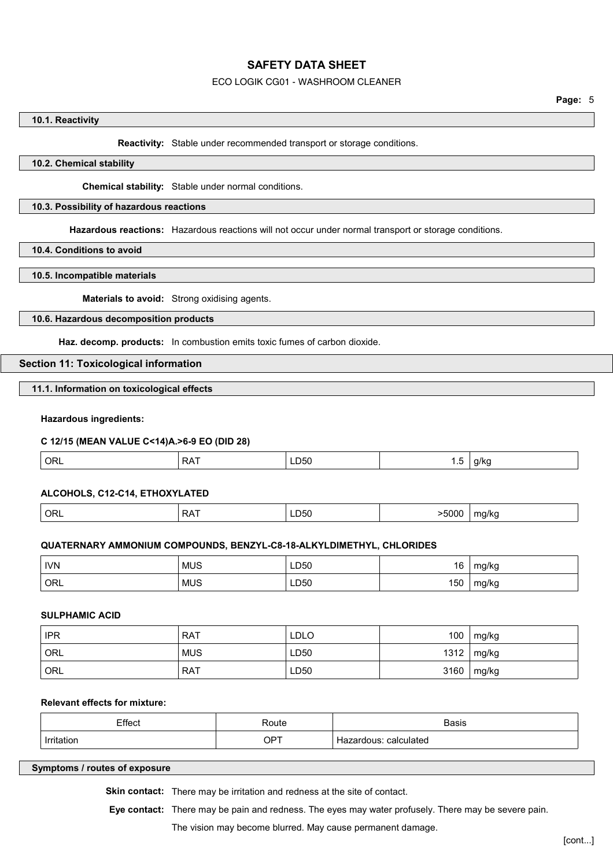#### ECO LOGIK CG01 - WASHROOM CLEANER

## **10.1. Reactivity**

**Reactivity:** Stable under recommended transport or storage conditions.

## **10.2. Chemical stability**

**Chemical stability:** Stable under normal conditions.

### **10.3. Possibility of hazardous reactions**

**Hazardous reactions:** Hazardous reactions will not occur under normal transport or storage conditions.

**10.4. Conditions to avoid**

### **10.5. Incompatible materials**

**Materials to avoid:** Strong oxidising agents.

## **10.6. Hazardous decomposition products**

**Haz. decomp. products:** In combustion emits toxic fumes of carbon dioxide.

#### **Section 11: Toxicological information**

**11.1. Information on toxicological effects**

#### **Hazardous ingredients:**

#### **C 12/15 (MEAN VALUE C<14)A.>6-9 EO (DID 28)**

| ORL | ⊃∧<br><b>NAI</b> | --<br>50ر<br>$ -$ | .<br>$\sim$ | 1/k |
|-----|------------------|-------------------|-------------|-----|
|     |                  |                   |             |     |

#### **ALCOHOLS, C12-C14, ETHOXYLATED**

| ORL<br>>5000<br>$\sim$ $\sim$ $\sim$<br>- - -<br>_<br>ma/ka<br>RA.<br>∟⊔ວ∪<br>. . |  |
|-----------------------------------------------------------------------------------|--|
|-----------------------------------------------------------------------------------|--|

## **QUATERNARY AMMONIUM COMPOUNDS, BENZYL-C8-18-ALKYLDIMETHYL, CHLORIDES**

| <b>IVN</b> | <b>MUS</b><br>$ -$ | LD50<br>___  | 16  | mg/kg |
|------------|--------------------|--------------|-----|-------|
| ORL        | <b>MUS</b>         | LD50<br>$ -$ | 150 | mg/kg |

## **SULPHAMIC ACID**

| <b>IPR</b> | <b>RAT</b> | <b>LDLO</b> | 100  | mg/kg |
|------------|------------|-------------|------|-------|
| ORL        | <b>MUS</b> | LD50        | 1312 | mg/kg |
| ORL        | <b>RAT</b> | LD50        | 3160 | mg/kg |

## **Relevant effects for mixture:**

| $TH_{\Omega}$<br>∟ा।∪∪<br>. | Route<br>.                                              | <b>Basis</b><br>. |
|-----------------------------|---------------------------------------------------------|-------------------|
| Irritot                     | <b>OPT</b>                                              | calculated        |
| .                           | $\sim$ $\sim$ $\sim$ $\sim$ $\sim$ $\sim$ $\sim$ $\sim$ | nus               |

#### **Symptoms / routes of exposure**

**Skin contact:** There may be irritation and redness at the site of contact.

**Eye contact:** There may be pain and redness. The eyes may water profusely. There may be severe pain.

## The vision may become blurred. May cause permanent damage.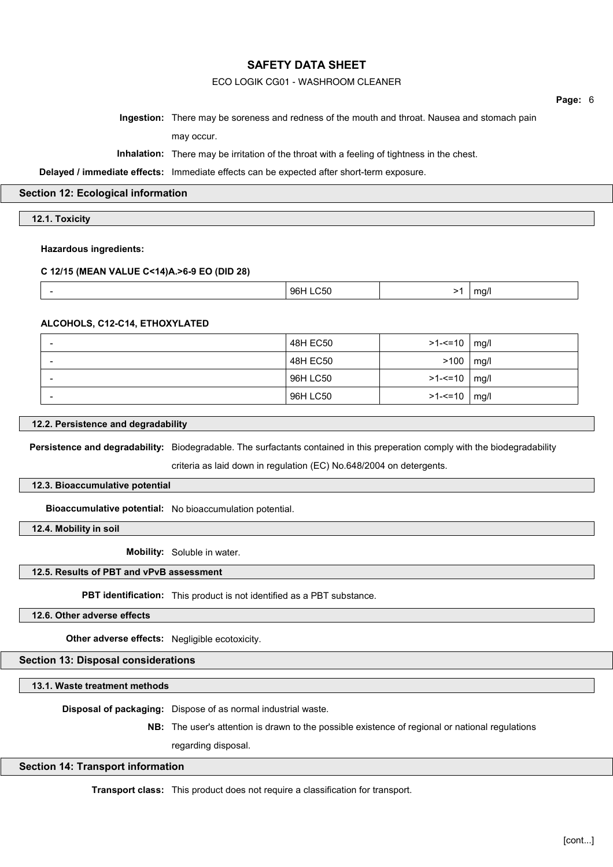## ECO LOGIK CG01 - WASHROOM CLEANER

**Page:** 6

**Ingestion:** There may be soreness and redness of the mouth and throat. Nausea and stomach pain may occur.

**Inhalation:** There may be irritation of the throat with a feeling of tightness in the chest.

**Delayed / immediate effects:** Immediate effects can be expected after short-term exposure.

### **Section 12: Ecological information**

**12.1. Toxicity**

### **Hazardous ingredients:**

### **C 12/15 (MEAN VALUE C<14)A.>6-9 EO (DID 28)**

| 96H<br>$m\alpha$<br>ാവ<br>$\sim$ $\sim$ $\sim$ $\sim$ $\sim$<br>. .<br>$\sim$ |
|-------------------------------------------------------------------------------|
|-------------------------------------------------------------------------------|

### **ALCOHOLS, C12-C14, ETHOXYLATED**

| 48H EC50 | $>1 - 10$ mg/l |  |
|----------|----------------|--|
| 48H EC50 | $>100$   mg/l  |  |
| 96H LC50 | >1-<=10   mg/l |  |
| 96H LC50 | >1-<=10   mg/l |  |

### **12.2. Persistence and degradability**

**Persistence and degradability:** Biodegradable. The surfactants contained in this preperation comply with the biodegradability

criteria as laid down in regulation (EC) No.648/2004 on detergents.

#### **12.3. Bioaccumulative potential**

**Bioaccumulative potential:** No bioaccumulation potential.

**12.4. Mobility in soil**

**Mobility:** Soluble in water.

## **12.5. Results of PBT and vPvB assessment**

**PBT identification:** This product is not identified as a PBT substance.

**12.6. Other adverse effects**

**Other adverse effects:** Negligible ecotoxicity.

## **Section 13: Disposal considerations**

**13.1. Waste treatment methods**

**Disposal of packaging:** Dispose of as normal industrial waste.

**NB:** The user's attention is drawn to the possible existence of regional or national regulations

regarding disposal.

## **Section 14: Transport information**

**Transport class:** This product does not require a classification for transport.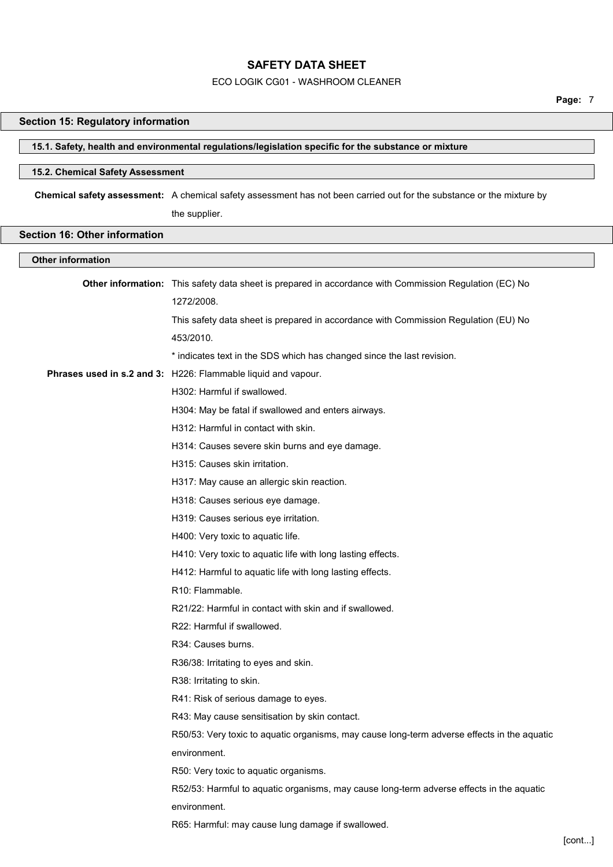### ECO LOGIK CG01 - WASHROOM CLEANER

**Page:** 7

## **Section 15: Regulatory information**

## **15.1. Safety, health and environmental regulations/legislation specific for the substance or mixture**

## **15.2. Chemical Safety Assessment**

**Chemical safety assessment:** A chemical safety assessment has not been carried out for the substance or the mixture by the supplier.

# **Section 16: Other information**

| <b>Other information</b> |                                                                                                        |  |
|--------------------------|--------------------------------------------------------------------------------------------------------|--|
|                          | Other information: This safety data sheet is prepared in accordance with Commission Regulation (EC) No |  |
|                          | 1272/2008.                                                                                             |  |
|                          | This safety data sheet is prepared in accordance with Commission Regulation (EU) No                    |  |
|                          | 453/2010.                                                                                              |  |
|                          | * indicates text in the SDS which has changed since the last revision.                                 |  |
|                          | Phrases used in s.2 and 3: H226: Flammable liquid and vapour.                                          |  |
|                          | H302: Harmful if swallowed.                                                                            |  |
|                          | H304: May be fatal if swallowed and enters airways.                                                    |  |
|                          | H312: Harmful in contact with skin.                                                                    |  |
|                          | H314: Causes severe skin burns and eye damage.                                                         |  |
|                          | H315: Causes skin irritation.                                                                          |  |
|                          | H317: May cause an allergic skin reaction.                                                             |  |
|                          | H318: Causes serious eye damage.                                                                       |  |
|                          | H319: Causes serious eye irritation.                                                                   |  |
|                          | H400: Very toxic to aquatic life.                                                                      |  |
|                          | H410: Very toxic to aquatic life with long lasting effects.                                            |  |
|                          | H412: Harmful to aquatic life with long lasting effects.                                               |  |
|                          | R <sub>10</sub> : Flammable.                                                                           |  |
|                          | R21/22: Harmful in contact with skin and if swallowed.                                                 |  |
|                          | R22: Harmful if swallowed.                                                                             |  |
|                          | R34: Causes burns.                                                                                     |  |
|                          | R36/38: Irritating to eyes and skin.                                                                   |  |
|                          | R38: Irritating to skin.                                                                               |  |
|                          | R41: Risk of serious damage to eyes.                                                                   |  |
|                          | R43: May cause sensitisation by skin contact.                                                          |  |
|                          | R50/53: Very toxic to aquatic organisms, may cause long-term adverse effects in the aquatic            |  |
|                          | environment.                                                                                           |  |
|                          | R50: Very toxic to aquatic organisms.                                                                  |  |
|                          | R52/53: Harmful to aquatic organisms, may cause long-term adverse effects in the aquatic               |  |
|                          | environment.                                                                                           |  |
|                          | R65: Harmful: may cause lung damage if swallowed.                                                      |  |
|                          |                                                                                                        |  |